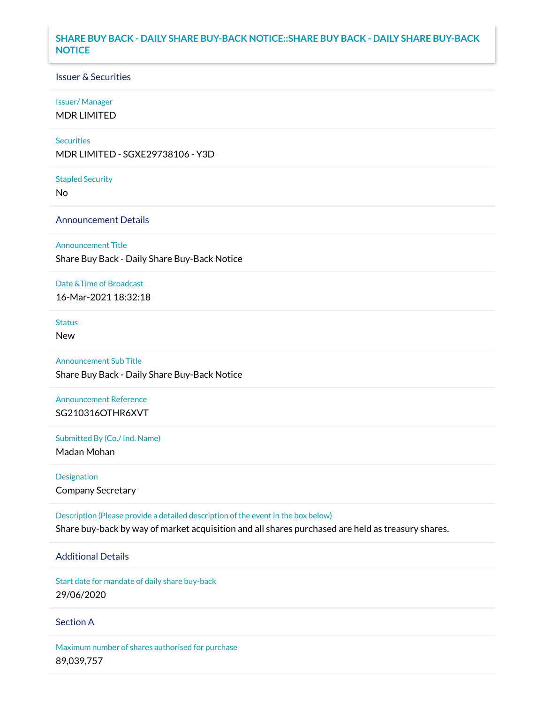## **SHARE BUY BACK - DAILY SHARE BUY-BACK NOTICE::SHARE BUY BACK - DAILY SHARE BUY-BACK NOTICE**

### Issuer & Securities

### Issuer/ Manager

MDR LIMITED

### **Securities**

MDR LIMITED - SGXE29738106 - Y3D

#### Stapled Security

No

### Announcement Details

Announcement Title

Share Buy Back - Daily Share Buy-Back Notice

### Date &Time of Broadcast

16-Mar-2021 18:32:18

## Status

New

# Announcement Sub Title

Share Buy Back - Daily Share Buy-Back Notice

## Announcement Reference SG210316OTHR6XVT

Submitted By (Co./ Ind. Name)

Madan Mohan

Designation Company Secretary

Description (Please provide a detailed description of the event in the box below) Share buy-back by way of market acquisition and all shares purchased are held as treasury shares.

## Additional Details

Start date for mandate of daily share buy-back 29/06/2020

### Section A

Maximum number of shares authorised for purchase 89,039,757